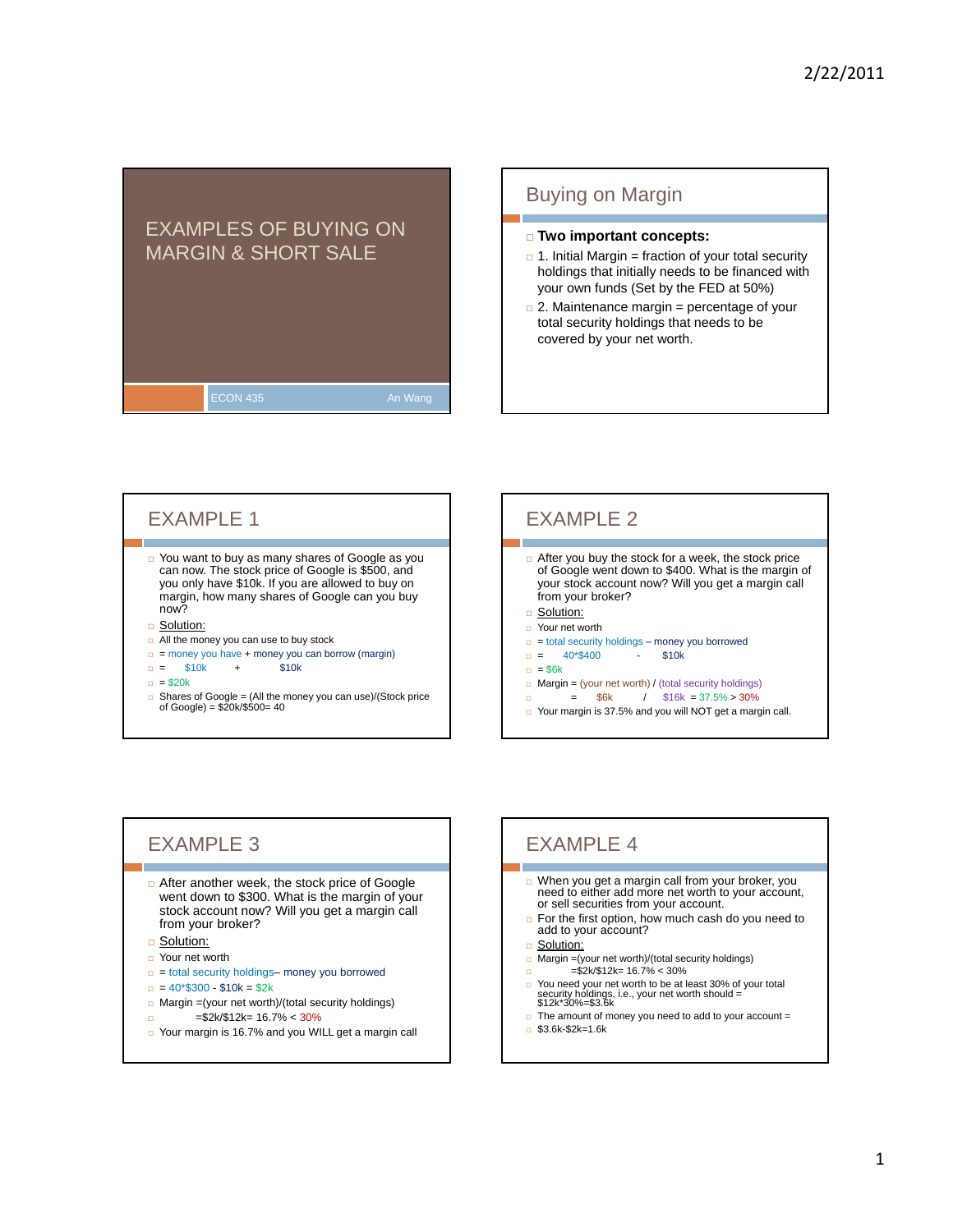## EXAMPLES OF BUYING ON MARGIN & SHORT SALE

ECON 435 **An Wang** 

### Buying on Margin

### **Two important concepts:**

- $\Box$  1. Initial Margin = fraction of your total security holdings that initially needs to be financed with your own funds (Set by the FED at 50%)
- $\Box$  2. Maintenance margin = percentage of your total security holdings that needs to be covered by your net worth.

### EXAMPLE 1

□ You want to buy as many shares of Google as you can now. The stock price of Google is \$500, and you only have \$10k. If you are allowed to buy on margin, how many shares of Google can you buy now?

#### **B** Solution:

- **D** All the money you can use to buy stock
- $=$  money you have + money you can borrow (margin)
- $= $10k + $10k$
- $= $20k$
- Shares of Google = (All the money you can use)/(Stock price of Google) = \$20k/\$500= 40

# EXAMPLE 2

- $\Box$  After you buy the stock for a week, the stock price of Google went down to \$400. What is the margin of your stock account now? Will you get a margin call from your broker?
- □ Solution:
- Your net worth
- $=$  total security holdings money you borrowed
- $= 40*$400$  \$10k
- $= $6k$
- $\Box$  Margin = (your net worth) / (total security holdings)
- $\Box$  = \$6k / \$16k = 37.5% > 30% □ Your margin is 37.5% and you will NOT get a margin call.

## EXAMPLE 3

- □ After another week, the stock price of Google went down to \$300. What is the margin of your stock account now? Will you get a margin call from your broker?
- □ Solution:
- □ Your net worth
- $=$  total security holdings– money you borrowed
- $= 40*300 10k = 2k$
- $\Box$  Margin =(your net worth)/(total security holdings)
- =\$2k/\$12k= 16.7% < 30%
- Your margin is 16.7% and you WILL get a margin call

## EXAMPLE 4

- When you get a margin call from your broker, you need to either add more net worth to your account,<br>or sell securities from your account.
- $\Box$  For the first option, how much cash do you need to add to your account?
- □ Solution:
- $\Box$  Margin =(your net worth)/(total security holdings)
- $=$ \$2k/\$12k= 16.7% < 30%
- You need your net worth to be at least 30% of your total security holdings, i.e., your net worth should = \$12k\*30%=\$3.6k
- $\Box$  The amount of money you need to add to your account =
- $\Box$  \$3.6k-\$2k=1.6k